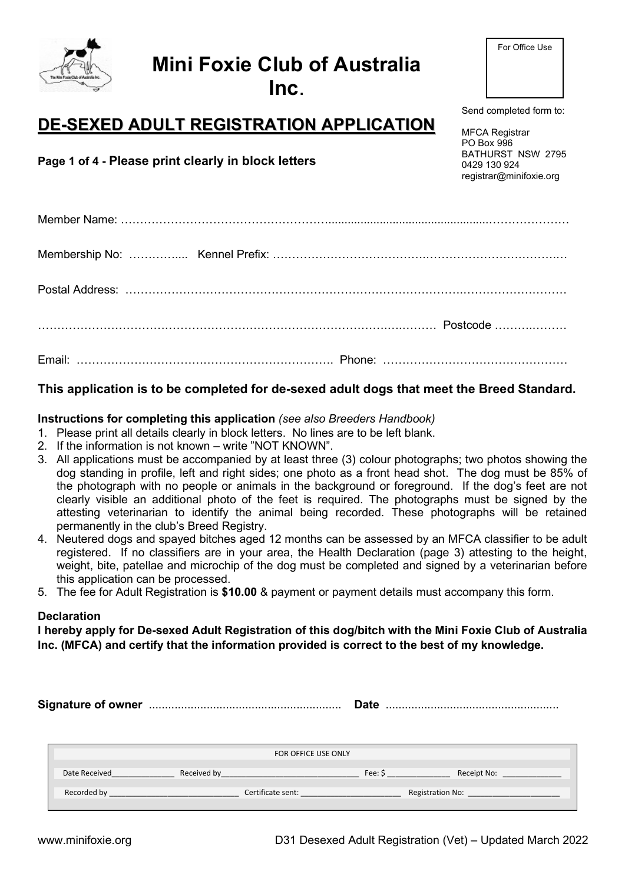# Mini Foxie Club of Australia

Inc.

# For Office Use

Send completed form to:

MFCA Registrar PO Box 996 BATHURST NSW 2795 0429 130 924 registrar@minifoxie.org

|  | <b>DE-SEXED ADULT REGISTRATION APPLICATION</b> |  |
|--|------------------------------------------------|--|
|  |                                                |  |

Page 1 of 4 - Please print clearly in block letters

# Membership No: ………….... Kennel Prefix: ………………………………….…………………………….… Postal Address: …………………………………………………………………………….……………………… ……………………………………………………………………………….….……… Postcode ……….……… Email: …………………………………………………………. Phone: …………………………………………

# This application is to be completed for de-sexed adult dogs that meet the Breed Standard.

#### Instructions for completing this application (see also Breeders Handbook)

- 1. Please print all details clearly in block letters. No lines are to be left blank.
- 2. If the information is not known write "NOT KNOWN".
- 3. All applications must be accompanied by at least three (3) colour photographs; two photos showing the dog standing in profile, left and right sides; one photo as a front head shot. The dog must be 85% of the photograph with no people or animals in the background or foreground. If the dog's feet are not clearly visible an additional photo of the feet is required. The photographs must be signed by the attesting veterinarian to identify the animal being recorded. These photographs will be retained permanently in the club's Breed Registry.
- 4. Neutered dogs and spayed bitches aged 12 months can be assessed by an MFCA classifier to be adult registered. If no classifiers are in your area, the Health Declaration (page 3) attesting to the height, weight, bite, patellae and microchip of the dog must be completed and signed by a veterinarian before this application can be processed.
- 5. The fee for Adult Registration is \$10.00 & payment or payment details must accompany this form.

#### Declaration

I hereby apply for De-sexed Adult Registration of this dog/bitch with the Mini Foxie Club of Australia Inc. (MFCA) and certify that the information provided is correct to the best of my knowledge.

Signature of owner ............................................................ Date ......................................................

| FOR OFFICE USE ONLY |             |                   |                         |             |  |
|---------------------|-------------|-------------------|-------------------------|-------------|--|
| Date Received       | Received by |                   | Fee: \$                 | Receipt No: |  |
| Recorded by         |             | Certificate sent: | <b>Registration No:</b> |             |  |



Member Name: ………………………………………………..................................................…………………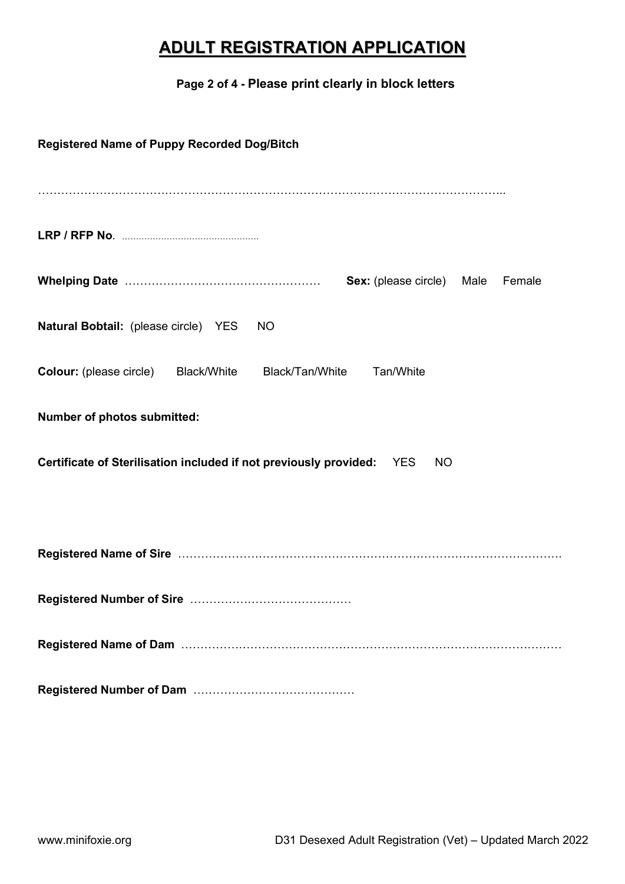# ADULT REGISTRATION APPLICATION

Page 2 of 4 - Please print clearly in block letters

| <b>Registered Name of Puppy Recorded Dog/Bitch</b>                                 |  |  |  |  |  |
|------------------------------------------------------------------------------------|--|--|--|--|--|
|                                                                                    |  |  |  |  |  |
| <b>Sex:</b> (please circle) Male<br>Female                                         |  |  |  |  |  |
| <b>Natural Bobtail:</b> (please circle) YES<br><b>NO</b>                           |  |  |  |  |  |
| Black/Tan/White<br><b>Colour:</b> (please circle) Black/White<br>Tan/White         |  |  |  |  |  |
| Number of photos submitted:                                                        |  |  |  |  |  |
| Certificate of Sterilisation included if not previously provided: YES<br><b>NO</b> |  |  |  |  |  |
|                                                                                    |  |  |  |  |  |
|                                                                                    |  |  |  |  |  |
| <b>Registered Number of Sire</b>                                                   |  |  |  |  |  |
|                                                                                    |  |  |  |  |  |
|                                                                                    |  |  |  |  |  |

Registered Number of Dam ……………………………………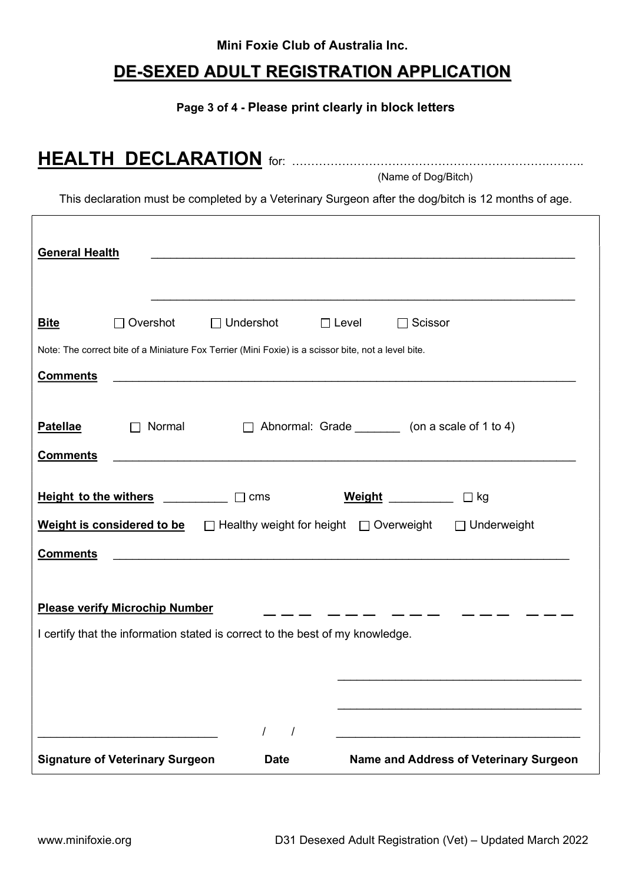#### Mini Foxie Club of Australia Inc.

# DE-SEXED ADULT REGISTRATION APPLICATION

Page 3 of 4 - Please print clearly in block letters

|                       |                                                                                                     | (Name of Dog/Bitch)  |                                                                                                                        |  |  |  |
|-----------------------|-----------------------------------------------------------------------------------------------------|----------------------|------------------------------------------------------------------------------------------------------------------------|--|--|--|
|                       | This declaration must be completed by a Veterinary Surgeon after the dog/bitch is 12 months of age. |                      |                                                                                                                        |  |  |  |
|                       |                                                                                                     |                      |                                                                                                                        |  |  |  |
| <b>General Health</b> |                                                                                                     |                      |                                                                                                                        |  |  |  |
|                       |                                                                                                     |                      |                                                                                                                        |  |  |  |
|                       |                                                                                                     |                      |                                                                                                                        |  |  |  |
| <b>Bite</b>           | Overshot                                                                                            | $\Box$ Undershot     | $\square$ Level<br>$\Box$ Scissor                                                                                      |  |  |  |
|                       |                                                                                                     |                      | Note: The correct bite of a Miniature Fox Terrier (Mini Foxie) is a scissor bite, not a level bite.                    |  |  |  |
| <b>Comments</b>       |                                                                                                     |                      | <u> 1989 - Johann Stoff, amerikansk politiker (d. 1989)</u>                                                            |  |  |  |
|                       |                                                                                                     |                      |                                                                                                                        |  |  |  |
| <b>Patellae</b>       | Normal<br>$\Box$                                                                                    | $\Box$               | Abnormal: Grade __________ (on a scale of 1 to 4)                                                                      |  |  |  |
| <b>Comments</b>       |                                                                                                     |                      |                                                                                                                        |  |  |  |
|                       |                                                                                                     |                      |                                                                                                                        |  |  |  |
|                       | Height to the withers <b>Network</b>                                                                | $\Box$ cms           | <u>Weight</u><br>$\Box$ kg                                                                                             |  |  |  |
|                       |                                                                                                     |                      | <b>Weight is considered to be</b> $\Box$ Healthy weight for height $\Box$ Overweight $\Box$ Underweight                |  |  |  |
| <b>Comments</b>       |                                                                                                     |                      | <u> 1980 - Johann John Stone, markin film yn y brening yn y brening yn y brening yn y brening yn y brening y breni</u> |  |  |  |
|                       |                                                                                                     |                      |                                                                                                                        |  |  |  |
|                       | <b>Please verify Microchip Number</b>                                                               |                      |                                                                                                                        |  |  |  |
|                       | I certify that the information stated is correct to the best of my knowledge.                       |                      |                                                                                                                        |  |  |  |
|                       |                                                                                                     |                      |                                                                                                                        |  |  |  |
|                       |                                                                                                     |                      |                                                                                                                        |  |  |  |
|                       |                                                                                                     |                      |                                                                                                                        |  |  |  |
|                       |                                                                                                     | $\prime$<br>$\prime$ |                                                                                                                        |  |  |  |
|                       |                                                                                                     | <b>Date</b>          |                                                                                                                        |  |  |  |
|                       | <b>Signature of Veterinary Surgeon</b>                                                              |                      | Name and Address of Veterinary Surgeon                                                                                 |  |  |  |